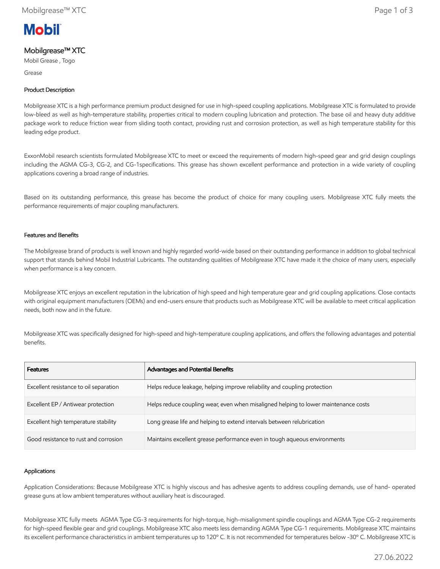

# Mobilgrease™ XTC

Mobil Grease , Togo

Grease

## Product Description

Mobilgrease XTC is a high performance premium product designed for use in high-speed coupling applications. Mobilgrease XTC is formulated to provide low-bleed as well as high-temperature stability, properties critical to modern coupling lubrication and protection. The base oil and heavy duty additive package work to reduce friction wear from sliding tooth contact, providing rust and corrosion protection, as well as high temperature stability for this leading edge product.

ExxonMobil research scientists formulated Mobilgrease XTC to meet or exceed the requirements of modern high-speed gear and grid design couplings including the AGMA CG-3, CG-2, and CG-1specifications. This grease has shown excellent performance and protection in a wide variety of coupling applications covering a broad range of industries.

Based on its outstanding performance, this grease has become the product of choice for many coupling users. Mobilgrease XTC fully meets the performance requirements of major coupling manufacturers.

### Features and Benefits

The Mobilgrease brand of products is well known and highly regarded world-wide based on their outstanding performance in addition to global technical support that stands behind Mobil Industrial Lubricants. The outstanding qualities of Mobilgrease XTC have made it the choice of many users, especially when performance is a key concern.

Mobilgrease XTC enjoys an excellent reputation in the lubrication of high speed and high temperature gear and grid coupling applications. Close contacts with original equipment manufacturers (OEMs) and end-users ensure that products such as Mobilgrease XTC will be available to meet critical application needs, both now and in the future.

Mobilgrease XTC was specifically designed for high-speed and high-temperature coupling applications, and offers the following advantages and potential benefits.

| <b>Features</b>                        | Advantages and Potential Benefits                                                   |
|----------------------------------------|-------------------------------------------------------------------------------------|
| Excellent resistance to oil separation | Helps reduce leakage, helping improve reliability and coupling protection           |
| Excellent EP / Antiwear protection     | Helps reduce coupling wear, even when misaligned helping to lower maintenance costs |
| Excellent high temperature stability   | Long grease life and helping to extend intervals between relubrication              |
| Good resistance to rust and corrosion  | Maintains excellent grease performance even in tough aqueous environments           |

#### Applications

Application Considerations: Because Mobilgrease XTC is highly viscous and has adhesive agents to address coupling demands, use of hand- operated grease guns at low ambient temperatures without auxiliary heat is discouraged.

Mobilgrease XTC fully meets AGMA Type CG-3 requirements for high-torque, high-misalignment spindle couplings and AGMA Type CG-2 requirements for high-speed flexible gear and grid couplings. Mobilgrease XTC also meets less demanding AGMA Type CG-1 requirements. Mobilgrease XTC maintains its excellent performance characteristics in ambient temperatures up to 120º C. It is not recommended for temperatures below -30º C. Mobilgrease XTC is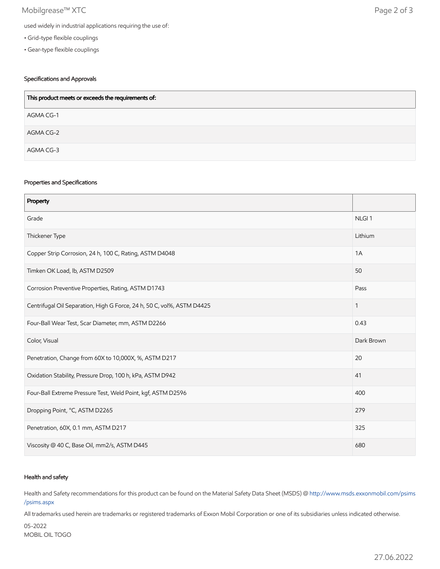# Mobilgrease™ XTC Page 2 of 3

- Grid-type flexible couplings
- Gear-type flexible couplings

## Specifications and Approvals

| This product meets or exceeds the requirements of: |
|----------------------------------------------------|
| AGMA CG-1                                          |
| AGMA CG-2                                          |
| AGMA CG-3                                          |

#### Properties and Specifications

| Property                                                               |                   |
|------------------------------------------------------------------------|-------------------|
| Grade                                                                  | NLGI <sub>1</sub> |
| Thickener Type                                                         | Lithium           |
| Copper Strip Corrosion, 24 h, 100 C, Rating, ASTM D4048                | 1A                |
| Timken OK Load, lb, ASTM D2509                                         | 50                |
| Corrosion Preventive Properties, Rating, ASTM D1743                    | Pass              |
| Centrifugal Oil Separation, High G Force, 24 h, 50 C, vol%, ASTM D4425 | 1                 |
| Four-Ball Wear Test, Scar Diameter, mm, ASTM D2266                     | 0.43              |
| Color, Visual                                                          | Dark Brown        |
| Penetration, Change from 60X to 10,000X, %, ASTM D217                  | 20                |
| Oxidation Stability, Pressure Drop, 100 h, kPa, ASTM D942              | 41                |
| Four-Ball Extreme Pressure Test, Weld Point, kgf, ASTM D2596           | 400               |
| Dropping Point, °C, ASTM D2265                                         | 279               |
| Penetration, 60X, 0.1 mm, ASTM D217                                    | 325               |
| Viscosity @ 40 C, Base Oil, mm2/s, ASTM D445                           | 680               |

### Health and safety

Health and Safety recommendations for this product can be found on the Material Safety Data Sheet (MSDS) @ [http://www.msds.exxonmobil.com/psims](http://www.msds.exxonmobil.com/psims/psims.aspx) /psims.aspx

All trademarks used herein are trademarks or registered trademarks of Exxon Mobil Corporation or one of its subsidiaries unless indicated otherwise.

05-2022 MOBIL OIL TOGO